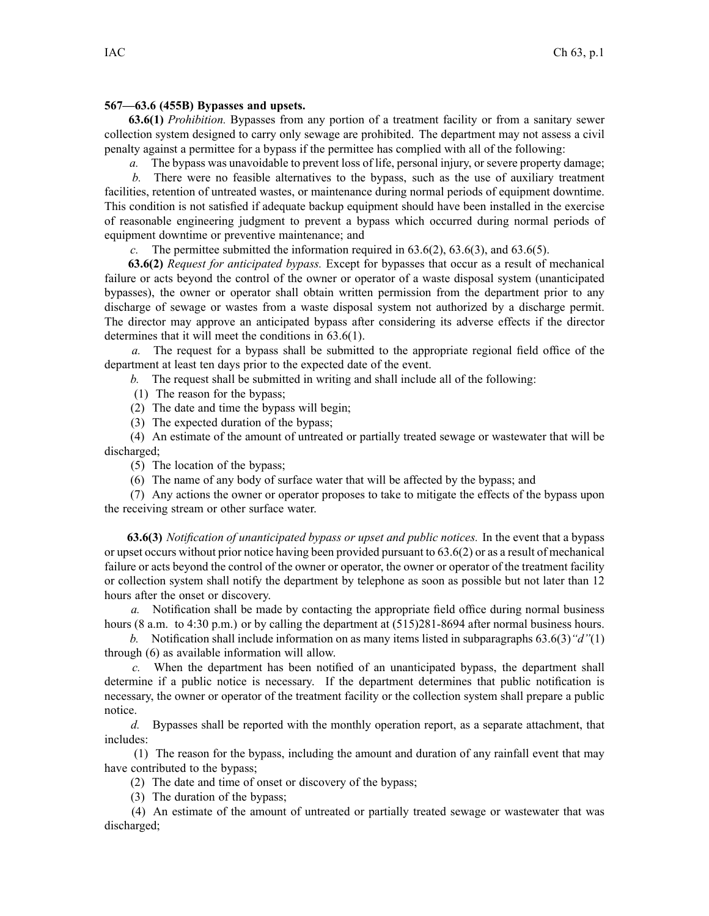## **567—63.6 (455B) Bypasses and upsets.**

**63.6(1)** *Prohibition.* Bypasses from any portion of <sup>a</sup> treatment facility or from <sup>a</sup> sanitary sewer collection system designed to carry only sewage are prohibited. The department may not assess <sup>a</sup> civil penalty against <sup>a</sup> permittee for <sup>a</sup> bypass if the permittee has complied with all of the following:

*a.* The bypass was unavoidable to preven<sup>t</sup> loss of life, personal injury, or severe property damage;

*b.* There were no feasible alternatives to the bypass, such as the use of auxiliary treatment facilities, retention of untreated wastes, or maintenance during normal periods of equipment downtime. This condition is not satisfied if adequate backup equipment should have been installed in the exercise of reasonable engineering judgment to preven<sup>t</sup> <sup>a</sup> bypass which occurred during normal periods of equipment downtime or preventive maintenance; and

*c.* The permittee submitted the information required in 63.6(2), 63.6(3), and 63.6(5).

**63.6(2)** *Request for anticipated bypass.* Except for bypasses that occur as <sup>a</sup> result of mechanical failure or acts beyond the control of the owner or operator of <sup>a</sup> waste disposal system (unanticipated bypasses), the owner or operator shall obtain written permission from the department prior to any discharge of sewage or wastes from <sup>a</sup> waste disposal system not authorized by <sup>a</sup> discharge permit. The director may approve an anticipated bypass after considering its adverse effects if the director determines that it will meet the conditions in 63.6(1).

*a.* The reques<sup>t</sup> for <sup>a</sup> bypass shall be submitted to the appropriate regional field office of the department at least ten days prior to the expected date of the event.

*b.* The reques<sup>t</sup> shall be submitted in writing and shall include all of the following:

(1) The reason for the bypass;

(2) The date and time the bypass will begin;

(3) The expected duration of the bypass;

(4) An estimate of the amount of untreated or partially treated sewage or wastewater that will be discharged;

(5) The location of the bypass;

(6) The name of any body of surface water that will be affected by the bypass; and

(7) Any actions the owner or operator proposes to take to mitigate the effects of the bypass upon the receiving stream or other surface water.

**63.6(3)** *Notification of unanticipated bypass or upse<sup>t</sup> and public notices.* In the event that <sup>a</sup> bypass or upse<sup>t</sup> occurs without prior notice having been provided pursuan<sup>t</sup> to 63.6(2) or as <sup>a</sup> result of mechanical failure or acts beyond the control of the owner or operator, the owner or operator of the treatment facility or collection system shall notify the department by telephone as soon as possible but not later than 12 hours after the onset or discovery.

*a.* Notification shall be made by contacting the appropriate field office during normal business hours (8 a.m. to 4:30 p.m.) or by calling the department at  $(515)281-8694$  after normal business hours.

*b.* Notification shall include information on as many items listed in subparagraphs 63.6(3)*"d"*(1) through (6) as available information will allow.

*c.* When the department has been notified of an unanticipated bypass, the department shall determine if <sup>a</sup> public notice is necessary. If the department determines that public notification is necessary, the owner or operator of the treatment facility or the collection system shall prepare <sup>a</sup> public notice.

*d.* Bypasses shall be reported with the monthly operation report, as <sup>a</sup> separate attachment, that includes:

(1) The reason for the bypass, including the amount and duration of any rainfall event that may have contributed to the bypass;

(2) The date and time of onset or discovery of the bypass;

(3) The duration of the bypass;

(4) An estimate of the amount of untreated or partially treated sewage or wastewater that was discharged;